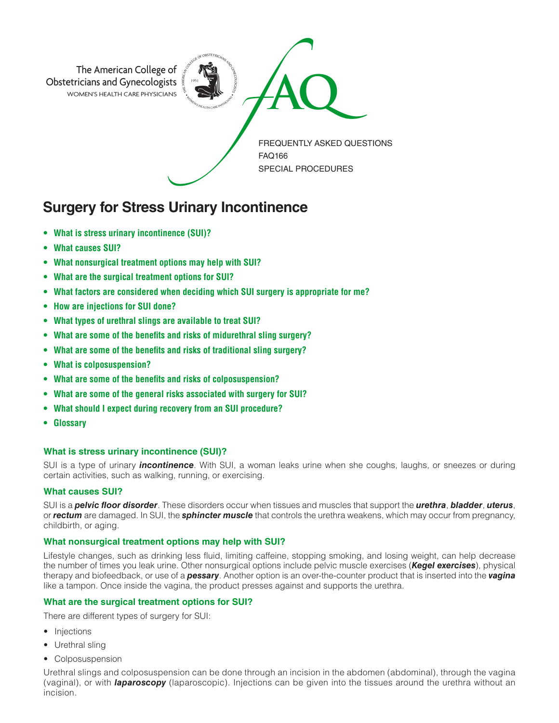

# **Surgery for Stress Urinary Incontinence**

- **• What is stress urinary incontinence (SUI)?**
- **• What causes SUI?**
- **• What nonsurgical treatment options may help with SUI?**
- **• What are the surgical treatment options for SUI?**
- **• What factors are considered when deciding which SUI surgery is appropriate for me?**
- **• How are injections for SUI done?**
- **• What types of urethral slings are available to treat SUI?**
- **• What are some of the benefits and risks of midurethral sling surgery?**
- **• What are some of the benefits and risks of traditional sling surgery?**
- **• What is colposuspension?**
- **• What are some of the benefits and risks of colposuspension?**
- **• What are some of the general risks associated with surgery for SUI?**
- **• What should I expect during recovery from an SUI procedure?**
- **• Glossary**

### **What is stress urinary incontinence (SUI)?**

SUI is a type of urinary *incontinence*. With SUI, a woman leaks urine when she coughs, laughs, or sneezes or during certain activities, such as walking, running, or exercising.

### **What causes SUI?**

SUI is a *pelvic floor disorder*. These disorders occur when tissues and muscles that support the *urethra*, *bladder*, *uterus*, or *rectum* are damaged. In SUI, the *sphincter muscle* that controls the urethra weakens, which may occur from pregnancy, childbirth, or aging.

### **What nonsurgical treatment options may help with SUI?**

Lifestyle changes, such as drinking less fluid, limiting caffeine, stopping smoking, and losing weight, can help decrease the number of times you leak urine. Other nonsurgical options include pelvic muscle exercises (*Kegel exercises*), physical therapy and biofeedback, or use of a *pessary*. Another option is an over-the-counter product that is inserted into the *vagina*  like a tampon. Once inside the vagina, the product presses against and supports the urethra.

# **What are the surgical treatment options for SUI?**

There are different types of surgery for SUI:

- Injections
- Urethral sling
- Colposuspension

Urethral slings and colposuspension can be done through an incision in the abdomen (abdominal), through the vagina (vaginal), or with *laparoscopy* (laparoscopic). Injections can be given into the tissues around the urethra without an incision.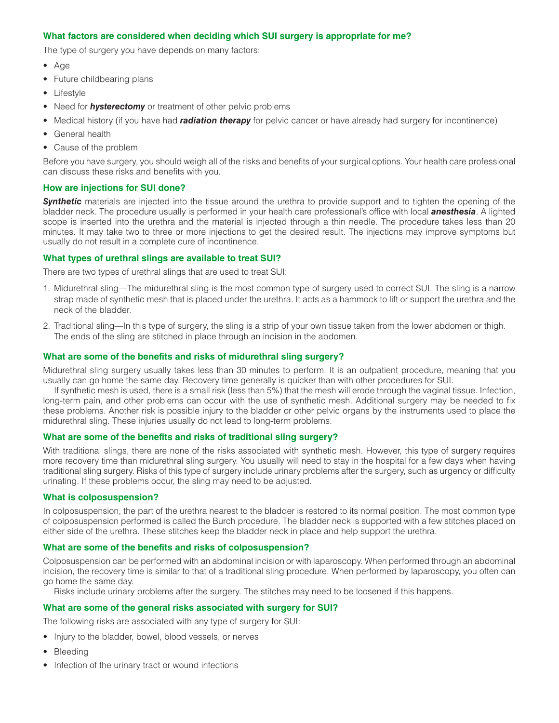## **What factors are considered when deciding which SUI surgery is appropriate for me?**

The type of surgery you have depends on many factors:

- Age
- Future childbearing plans
- Lifestyle
- Need for *hysterectomy* or treatment of other pelvic problems
- Medical history (if you have had *radiation therapy* for pelvic cancer or have already had surgery for incontinence)
- General health
- Cause of the problem

Before you have surgery, you should weigh all of the risks and benefits of your surgical options. Your health care professional can discuss these risks and benefits with you.

### **How are injections for SUI done?**

**Synthetic** materials are injected into the tissue around the urethra to provide support and to tighten the opening of the bladder neck. The procedure usually is performed in your health care professional's office with local *anesthesia*. A lighted scope is inserted into the urethra and the material is injected through a thin needle. The procedure takes less than 20 minutes. It may take two to three or more injections to get the desired result. The injections may improve symptoms but usually do not result in a complete cure of incontinence.

### **What types of urethral slings are available to treat SUI?**

There are two types of urethral slings that are used to treat SUI:

- 1. Midurethral sling—The midurethral sling is the most common type of surgery used to correct SUI. The sling is a narrow strap made of synthetic mesh that is placed under the urethra. It acts as a hammock to lift or support the urethra and the neck of the bladder.
- 2. Traditional sling—In this type of surgery, the sling is a strip of your own tissue taken from the lower abdomen or thigh. The ends of the sling are stitched in place through an incision in the abdomen.

### **What are some of the benefits and risks of midurethral sling surgery?**

Midurethral sling surgery usually takes less than 30 minutes to perform. It is an outpatient procedure, meaning that you usually can go home the same day. Recovery time generally is quicker than with other procedures for SUI.

If synthetic mesh is used, there is a small risk (less than 5%) that the mesh will erode through the vaginal tissue. Infection, long-term pain, and other problems can occur with the use of synthetic mesh. Additional surgery may be needed to fix these problems. Another risk is possible injury to the bladder or other pelvic organs by the instruments used to place the midurethral sling. These injuries usually do not lead to long-term problems.

### **What are some of the benefits and risks of traditional sling surgery?**

With traditional slings, there are none of the risks associated with synthetic mesh. However, this type of surgery requires more recovery time than midurethral sling surgery. You usually will need to stay in the hospital for a few days when having traditional sling surgery. Risks of this type of surgery include urinary problems after the surgery, such as urgency or difficulty urinating. If these problems occur, the sling may need to be adjusted.

### **What is colposuspension?**

In colposuspension, the part of the urethra nearest to the bladder is restored to its normal position. The most common type of colposuspension performed is called the Burch procedure. The bladder neck is supported with a few stitches placed on either side of the urethra. These stitches keep the bladder neck in place and help support the urethra.

### **What are some of the benefits and risks of colposuspension?**

Colposuspension can be performed with an abdominal incision or with laparoscopy. When performed through an abdominal incision, the recovery time is similar to that of a traditional sling procedure. When performed by laparoscopy, you often can go home the same day.

Risks include urinary problems after the surgery. The stitches may need to be loosened if this happens.

### **What are some of the general risks associated with surgery for SUI?**

The following risks are associated with any type of surgery for SUI:

- Injury to the bladder, bowel, blood vessels, or nerves
- Bleeding
- Infection of the urinary tract or wound infections